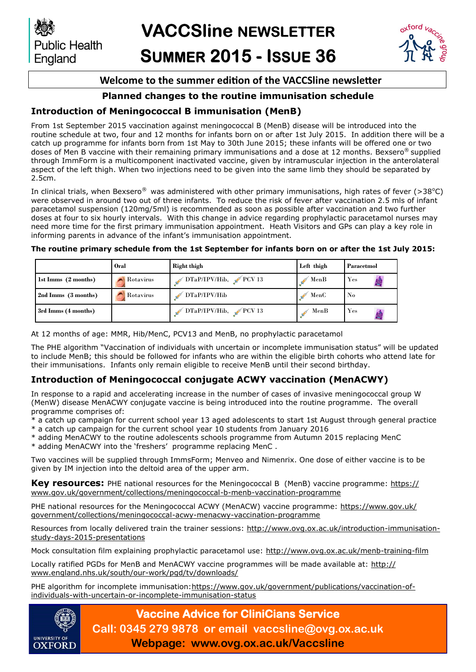**Public Health** England



### **Welcome to the summer edition of the VACCSline newsletter**

### **Planned changes to the routine immunisation schedule**

### **Introduction of Meningococcal B immunisation (MenB)**

From 1st September 2015 vaccination against meningococcal B (MenB) disease will be introduced into the routine schedule at two, four and 12 months for infants born on or after 1st July 2015. In addition there will be a catch up programme for infants born from 1st May to 30th June 2015; these infants will be offered one or two doses of Men B vaccine with their remaining primary immunisations and a dose at 12 months. Bexsero® supplied through ImmForm is a multicomponent inactivated vaccine, given by intramuscular injection in the anterolateral aspect of the left thigh. When two injections need to be given into the same limb they should be separated by 2.5cm.

In clinical trials, when Bexsero<sup>®</sup> was administered with other primary immunisations, high rates of fever (>38<sup>o</sup>C) were observed in around two out of three infants. To reduce the risk of fever after vaccination 2.5 mls of infant paracetamol suspension (120mg/5ml) is recommended as soon as possible after vaccination and two further doses at four to six hourly intervals. With this change in advice regarding prophylactic paracetamol nurses may need more time for the first primary immunisation appointment. Heath Visitors and GPs can play a key role in informing parents in advance of the infant's immunisation appointment.

### **The routine primary schedule from the 1st September for infants born on or after the 1st July 2015:**

|                     | <b>Oral</b> | Right thigh              | Left thigh | Paracetmol |
|---------------------|-------------|--------------------------|------------|------------|
| 1st Imms (2 months) | Rotavirus   | $DTaP/IPV/Hib$ , $PCV13$ | MenB       | Yes        |
| 2nd Imms (3 months) | Rotavirus   | DTaP/IPV/Hib             | MenC       | No         |
| 3rd Imms (4 months) |             | $DTaP/IPV/Hib$ , PCV 13  | MenB       | $\rm Yes$  |

At 12 months of age: MMR, Hib/MenC, PCV13 and MenB, no prophylactic paracetamol

The PHE algorithm "Vaccination of individuals with uncertain or incomplete immunisation status" will be updated to include MenB; this should be followed for infants who are within the eligible birth cohorts who attend late for their immunisations. Infants only remain eligible to receive MenB until their second birthday.

### **Introduction of Meningococcal conjugate ACWY vaccination (MenACWY)**

In response to a rapid and accelerating increase in the number of cases of invasive meningococcal group W (MenW) disease MenACWY conjugate vaccine is being introduced into the routine programme. The overall programme comprises of:

- \* a catch up campaign for current school year 13 aged adolescents to start 1st August through general practice
- \* a catch up campaign for the current school year 10 students from January 2016
- \* adding MenACWY to the routine adolescents schools programme from Autumn 2015 replacing MenC
- \* adding MenACWY into the 'freshers' programme replacing MenC .

Two vaccines will be supplied through ImmsForm; Menveo and Nimenrix. One dose of either vaccine is to be given by IM injection into the deltoid area of the upper arm.

**Key resources:** PHE national resources for the Meningococcal B (MenB) vaccine programme: [https://](https://www.gov.uk/government/collections/meningococcal-b-menb-vaccination-programme) [www.gov.uk/government/collections/meningococcal-b-menb-vaccination-programme](https://www.gov.uk/government/collections/meningococcal-b-menb-vaccination-programme)

PHE national resources for the Meningococcal ACWY (MenACW) vaccine programme: [https://www.gov.uk/](https://www.gov.uk/government/collections/meningococcal-acwy-menacwy-vaccination-programme) [government/collections/meningococcal-acwy-menacwy-vaccination-programme](https://www.gov.uk/government/collections/meningococcal-acwy-menacwy-vaccination-programme)

Resources from locally delivered train the trainer sessions: http://www.ovq.ox.ac.uk/introduction-immunisation[study-days-2015-presentations](http://www.ovg.ox.ac.uk/introduction-immunisation-study-days-2015-presentations)

Mock consultation film explaining prophylactic paracetamol use: <http://www.ovg.ox.ac.uk/menb-training-film>

Locally ratified PGDs for MenB and MenACWY vaccine programmes will be made available at: [http://](http://www.england.nhs.uk/south/our-work/pgd/tv/downloads/) [www.england.nhs.uk/south/our-work/pgd/tv/downloads/](http://www.england.nhs.uk/south/our-work/pgd/tv/downloads/)

PHE algorithm for incomplete immunisation: [https://www.gov.uk/government/publications/vaccination-of](https://www.gov.uk/government/publications/vaccination-of-individuals-with-uncertain-or-incomplete-immunisation-status)[individuals-with-uncertain-or-incomplete-immunisation-status](https://www.gov.uk/government/publications/vaccination-of-individuals-with-uncertain-or-incomplete-immunisation-status)



# **Vaccine Advice for CliniCians Service Call: 0345 279 9878 or email vaccsline@ovg.ox.ac.uk**

**Webpage: www.ovg.ox.ac.uk/Vaccsline**